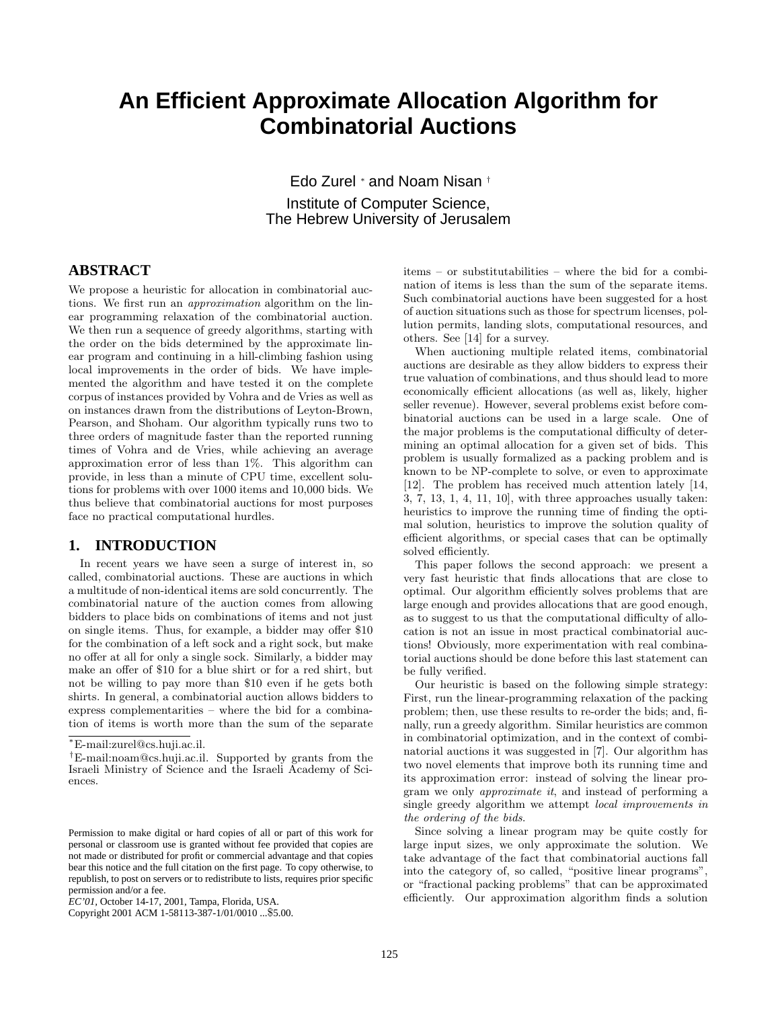# **An Efficient Approximate Allocation Algorithm for Combinatorial Auctions**

Edo Zurel <sup>∗</sup> and Noam Nisan † Institute of Computer Science, The Hebrew University of Jerusalem

# **ABSTRACT**

We propose a heuristic for allocation in combinatorial auctions. We first run an approximation algorithm on the linear programming relaxation of the combinatorial auction. We then run a sequence of greedy algorithms, starting with the order on the bids determined by the approximate linear program and continuing in a hill-climbing fashion using local improvements in the order of bids. We have implemented the algorithm and have tested it on the complete corpus of instances provided by Vohra and de Vries as well as on instances drawn from the distributions of Leyton-Brown, Pearson, and Shoham. Our algorithm typically runs two to three orders of magnitude faster than the reported running times of Vohra and de Vries, while achieving an average approximation error of less than 1%. This algorithm can provide, in less than a minute of CPU time, excellent solutions for problems with over 1000 items and 10,000 bids. We thus believe that combinatorial auctions for most purposes face no practical computational hurdles.

## **1. INTRODUCTION**

In recent years we have seen a surge of interest in, so called, combinatorial auctions. These are auctions in which a multitude of non-identical items are sold concurrently. The combinatorial nature of the auction comes from allowing bidders to place bids on combinations of items and not just on single items. Thus, for example, a bidder may offer \$10 for the combination of a left sock and a right sock, but make no offer at all for only a single sock. Similarly, a bidder may make an offer of \$10 for a blue shirt or for a red shirt, but not be willing to pay more than \$10 even if he gets both shirts. In general, a combinatorial auction allows bidders to express complementarities – where the bid for a combination of items is worth more than the sum of the separate

items – or substitutabilities – where the bid for a combination of items is less than the sum of the separate items. Such combinatorial auctions have been suggested for a host of auction situations such as those for spectrum licenses, pollution permits, landing slots, computational resources, and others. See [14] for a survey.

When auctioning multiple related items, combinatorial auctions are desirable as they allow bidders to express their true valuation of combinations, and thus should lead to more economically efficient allocations (as well as, likely, higher seller revenue). However, several problems exist before combinatorial auctions can be used in a large scale. One of the major problems is the computational difficulty of determining an optimal allocation for a given set of bids. This problem is usually formalized as a packing problem and is known to be NP-complete to solve, or even to approximate [12]. The problem has received much attention lately [14, 3, 7, 13, 1, 4, 11, 10], with three approaches usually taken: heuristics to improve the running time of finding the optimal solution, heuristics to improve the solution quality of efficient algorithms, or special cases that can be optimally solved efficiently.

This paper follows the second approach: we present a very fast heuristic that finds allocations that are close to optimal. Our algorithm efficiently solves problems that are large enough and provides allocations that are good enough, as to suggest to us that the computational difficulty of allocation is not an issue in most practical combinatorial auctions! Obviously, more experimentation with real combinatorial auctions should be done before this last statement can be fully verified.

Our heuristic is based on the following simple strategy: First, run the linear-programming relaxation of the packing problem; then, use these results to re-order the bids; and, finally, run a greedy algorithm. Similar heuristics are common in combinatorial optimization, and in the context of combinatorial auctions it was suggested in [7]. Our algorithm has two novel elements that improve both its running time and its approximation error: instead of solving the linear program we only approximate it, and instead of performing a single greedy algorithm we attempt local improvements in the ordering of the bids.

Since solving a linear program may be quite costly for large input sizes, we only approximate the solution. We take advantage of the fact that combinatorial auctions fall into the category of, so called, "positive linear programs", or "fractional packing problems" that can be approximated efficiently. Our approximation algorithm finds a solution

<sup>∗</sup>E-mail:zurel@cs.huji.ac.il.

<sup>†</sup>E-mail:noam@cs.huji.ac.il. Supported by grants from the Israeli Ministry of Science and the Israeli Academy of Sciences.

Permission to make digital or hard copies of all or part of this work for personal or classroom use is granted without fee provided that copies are not made or distributed for profit or commercial advantage and that copies bear this notice and the full citation on the first page. To copy otherwise, to republish, to post on servers or to redistribute to lists, requires prior specific permission and/or a fee.

*EC'01,* October 14-17, 2001, Tampa, Florida, USA.

Copyright 2001 ACM 1-58113-387-1/01/0010 ...\$5.00.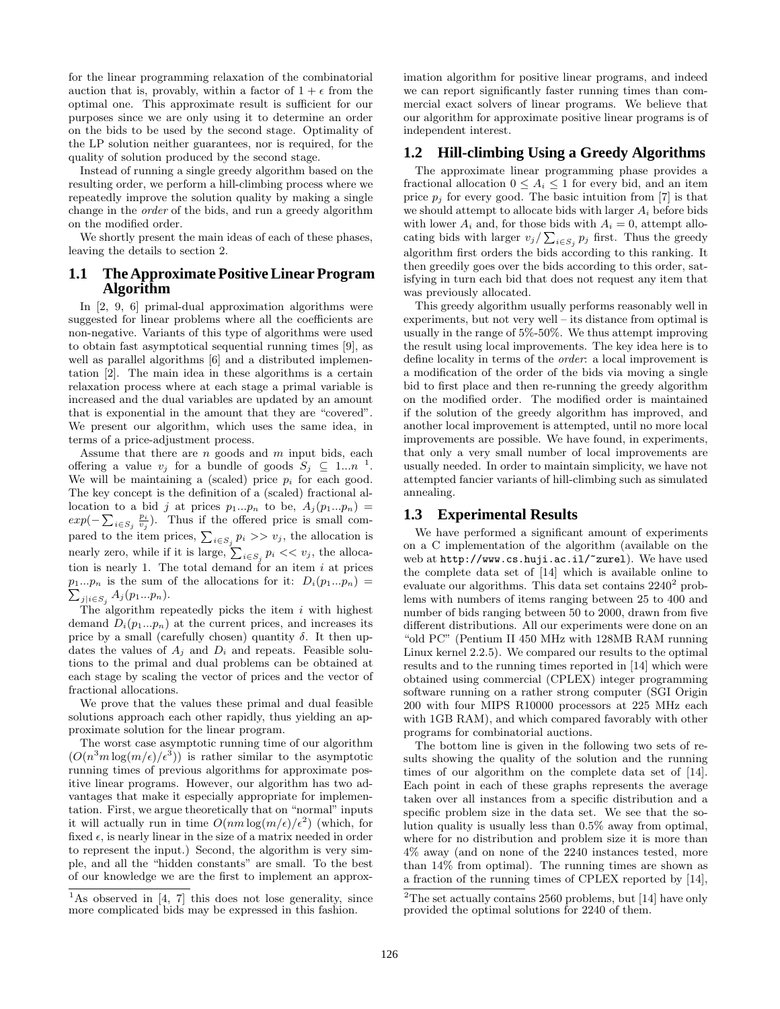for the linear programming relaxation of the combinatorial auction that is, provably, within a factor of  $1 + \epsilon$  from the optimal one. This approximate result is sufficient for our purposes since we are only using it to determine an order on the bids to be used by the second stage. Optimality of the LP solution neither guarantees, nor is required, for the quality of solution produced by the second stage.

Instead of running a single greedy algorithm based on the resulting order, we perform a hill-climbing process where we repeatedly improve the solution quality by making a single change in the order of the bids, and run a greedy algorithm on the modified order.

We shortly present the main ideas of each of these phases, leaving the details to section 2.

## **1.1 The Approximate Positive Linear Program Algorithm**

In [2, 9, 6] primal-dual approximation algorithms were suggested for linear problems where all the coefficients are non-negative. Variants of this type of algorithms were used to obtain fast asymptotical sequential running times [9], as well as parallel algorithms [6] and a distributed implementation [2]. The main idea in these algorithms is a certain relaxation process where at each stage a primal variable is increased and the dual variables are updated by an amount that is exponential in the amount that they are "covered". We present our algorithm, which uses the same idea, in terms of a price-adjustment process.

Assume that there are  $n$  goods and  $m$  input bids, each offering a value  $v_j$  for a bundle of goods  $S_j \subseteq 1...n^{-1}$ . We will be maintaining a (scaled) price  $p_i$  for each good. The key concept is the definition of a (scaled) fractional allocation to a bid j at prices  $p_1...p_n$  to be,  $A_j(p_1...p_n) =$  $exp(-\sum_{i\in S_j}\frac{p_i}{v_j})$ . Thus if the offered price is small compared to the item prices,  $\sum_{i \in S_j} p_i \gg v_j$ , the allocation is nearly zero, while if it is large,  $\sum_{i \in S_j} p_i \ll v_j$ , the allocation is nearly 1. The total demand for an item  $i$  at prices  $p_1...p_n$  is the sum of the allocations for it:  $D_i(p_1...p_n) = \sum_{v \in S} A_i(p_1...p_n)$ .  $_{j|i\in S_j} A_j(p_1...p_n).$ 

The algorithm repeatedly picks the item  $i$  with highest demand  $D_i(p_1...p_n)$  at the current prices, and increases its price by a small (carefully chosen) quantity  $\delta$ . It then updates the values of  $A_j$  and  $D_i$  and repeats. Feasible solutions to the primal and dual problems can be obtained at each stage by scaling the vector of prices and the vector of fractional allocations.

We prove that the values these primal and dual feasible solutions approach each other rapidly, thus yielding an approximate solution for the linear program.

The worst case asymptotic running time of our algorithm  $(O(n^3m \log(m/\epsilon)/\epsilon^3))$  is rather similar to the asymptotic running times of previous algorithms for approximate positive linear programs. However, our algorithm has two advantages that make it especially appropriate for implementation. First, we argue theoretically that on "normal" inputs it will actually run in time  $O(nm \log(m/\epsilon)/\epsilon^2)$  (which, for fixed  $\epsilon$ , is nearly linear in the size of a matrix needed in order to represent the input.) Second, the algorithm is very simple, and all the "hidden constants" are small. To the best of our knowledge we are the first to implement an approximation algorithm for positive linear programs, and indeed we can report significantly faster running times than commercial exact solvers of linear programs. We believe that our algorithm for approximate positive linear programs is of independent interest.

# **1.2 Hill-climbing Using a Greedy Algorithms**

The approximate linear programming phase provides a fractional allocation  $0 \leq A_i \leq 1$  for every bid, and an item price  $p_i$  for every good. The basic intuition from [7] is that we should attempt to allocate bids with larger  $A_i$  before bids with lower  $A_i$  and, for those bids with  $A_i = 0$ , attempt allocating bids with larger  $v_j / \sum_{i \in S_j} p_j$  first. Thus the greedy algorithm first orders the bids according to this ranking. It then greedily goes over the bids according to this order, satisfying in turn each bid that does not request any item that was previously allocated.

This greedy algorithm usually performs reasonably well in experiments, but not very well – its distance from optimal is usually in the range of 5%-50%. We thus attempt improving the result using local improvements. The key idea here is to define locality in terms of the order: a local improvement is a modification of the order of the bids via moving a single bid to first place and then re-running the greedy algorithm on the modified order. The modified order is maintained if the solution of the greedy algorithm has improved, and another local improvement is attempted, until no more local improvements are possible. We have found, in experiments, that only a very small number of local improvements are usually needed. In order to maintain simplicity, we have not attempted fancier variants of hill-climbing such as simulated annealing.

# **1.3 Experimental Results**

We have performed a significant amount of experiments on a C implementation of the algorithm (available on the web at http://www.cs.huji.ac.il/~zurel). We have used the complete data set of [14] which is available online to evaluate our algorithms. This data set contains  $2240^2$  problems with numbers of items ranging between 25 to 400 and number of bids ranging between 50 to 2000, drawn from five different distributions. All our experiments were done on an "old PC" (Pentium II 450 MHz with 128MB RAM running Linux kernel 2.2.5). We compared our results to the optimal results and to the running times reported in [14] which were obtained using commercial (CPLEX) integer programming software running on a rather strong computer (SGI Origin 200 with four MIPS R10000 processors at 225 MHz each with 1GB RAM), and which compared favorably with other programs for combinatorial auctions.

The bottom line is given in the following two sets of results showing the quality of the solution and the running times of our algorithm on the complete data set of [14]. Each point in each of these graphs represents the average taken over all instances from a specific distribution and a specific problem size in the data set. We see that the solution quality is usually less than 0.5% away from optimal, where for no distribution and problem size it is more than 4% away (and on none of the 2240 instances tested, more than 14% from optimal). The running times are shown as a fraction of the running times of CPLEX reported by [14],

<sup>&</sup>lt;sup>1</sup>As observed in [4, 7] this does not lose generality, since more complicated bids may be expressed in this fashion.

<sup>&</sup>lt;sup>2</sup>The set actually contains 2560 problems, but [14] have only provided the optimal solutions for 2240 of them.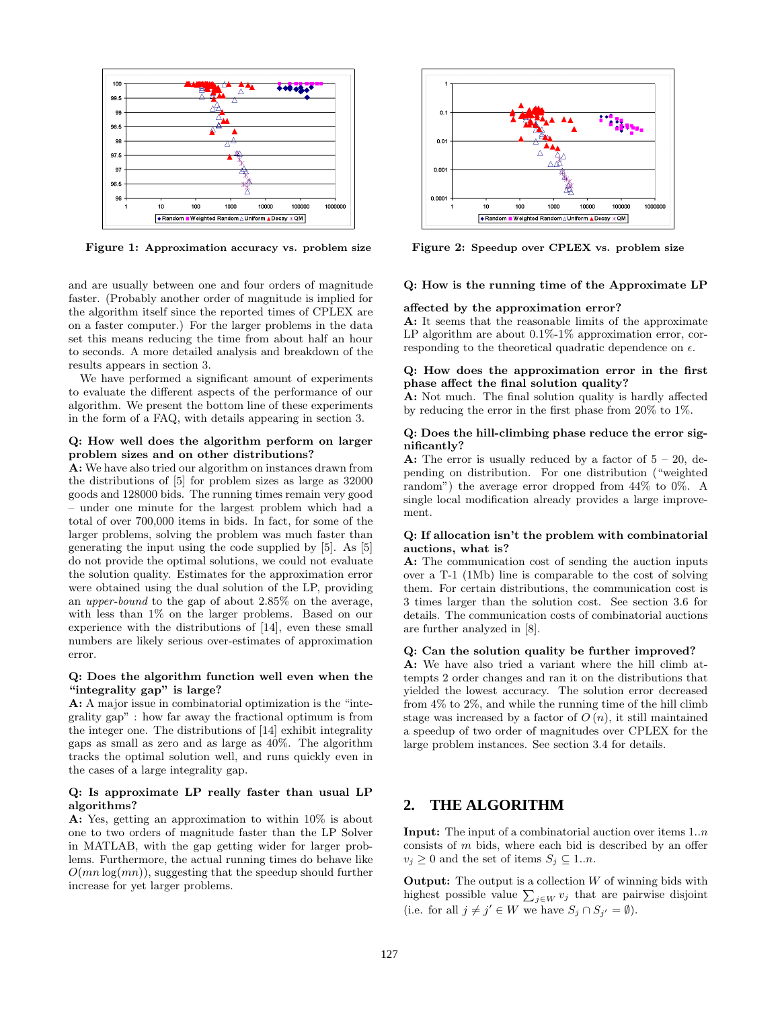

and are usually between one and four orders of magnitude faster. (Probably another order of magnitude is implied for the algorithm itself since the reported times of CPLEX are on a faster computer.) For the larger problems in the data set this means reducing the time from about half an hour to seconds. A more detailed analysis and breakdown of the results appears in section 3.

We have performed a significant amount of experiments to evaluate the different aspects of the performance of our algorithm. We present the bottom line of these experiments in the form of a FAQ, with details appearing in section 3.

## Q: How well does the algorithm perform on larger problem sizes and on other distributions?

A: We have also tried our algorithm on instances drawn from the distributions of [5] for problem sizes as large as 32000 goods and 128000 bids. The running times remain very good – under one minute for the largest problem which had a total of over 700,000 items in bids. In fact, for some of the larger problems, solving the problem was much faster than generating the input using the code supplied by [5]. As [5] do not provide the optimal solutions, we could not evaluate the solution quality. Estimates for the approximation error were obtained using the dual solution of the LP, providing an upper-bound to the gap of about 2.85% on the average, with less than 1% on the larger problems. Based on our experience with the distributions of [14], even these small numbers are likely serious over-estimates of approximation error.

#### Q: Does the algorithm function well even when the "integrality gap" is large?

A: A major issue in combinatorial optimization is the "integrality gap" : how far away the fractional optimum is from the integer one. The distributions of [14] exhibit integrality gaps as small as zero and as large as 40%. The algorithm tracks the optimal solution well, and runs quickly even in the cases of a large integrality gap.

#### Q: Is approximate LP really faster than usual LP algorithms?

A: Yes, getting an approximation to within 10% is about one to two orders of magnitude faster than the LP Solver in MATLAB, with the gap getting wider for larger problems. Furthermore, the actual running times do behave like  $O(mn \log(mn))$ , suggesting that the speedup should further increase for yet larger problems.



Figure 1: Approximation accuracy vs. problem size Figure 2: Speedup over CPLEX vs. problem size

## Q: How is the running time of the Approximate LP

#### affected by the approximation error?

A: It seems that the reasonable limits of the approximate LP algorithm are about 0.1%-1% approximation error, corresponding to the theoretical quadratic dependence on  $\epsilon$ .

#### Q: How does the approximation error in the first phase affect the final solution quality?

A: Not much. The final solution quality is hardly affected by reducing the error in the first phase from 20% to 1%.

#### Q: Does the hill-climbing phase reduce the error significantly?

A: The error is usually reduced by a factor of  $5 - 20$ , depending on distribution. For one distribution ("weighted random") the average error dropped from 44% to 0%. A single local modification already provides a large improvement.

#### Q: If allocation isn't the problem with combinatorial auctions, what is?

A: The communication cost of sending the auction inputs over a T-1 (1Mb) line is comparable to the cost of solving them. For certain distributions, the communication cost is 3 times larger than the solution cost. See section 3.6 for details. The communication costs of combinatorial auctions are further analyzed in [8].

### Q: Can the solution quality be further improved?

A: We have also tried a variant where the hill climb attempts 2 order changes and ran it on the distributions that yielded the lowest accuracy. The solution error decreased from 4% to 2%, and while the running time of the hill climb stage was increased by a factor of  $O(n)$ , it still maintained a speedup of two order of magnitudes over CPLEX for the large problem instances. See section 3.4 for details.

# **2. THE ALGORITHM**

**Input:** The input of a combinatorial auction over items  $1..n$ consists of  $m$  bids, where each bid is described by an offer  $v_j \geq 0$  and the set of items  $S_j \subseteq 1..n$ .

**Output:** The output is a collection  $W$  of winning bids with highest possible value  $\sum_{j\in W} v_j$  that are pairwise disjoint (i.e. for all  $j \neq j' \in W$  we have  $S_j \cap S_{j'} = \emptyset$ ).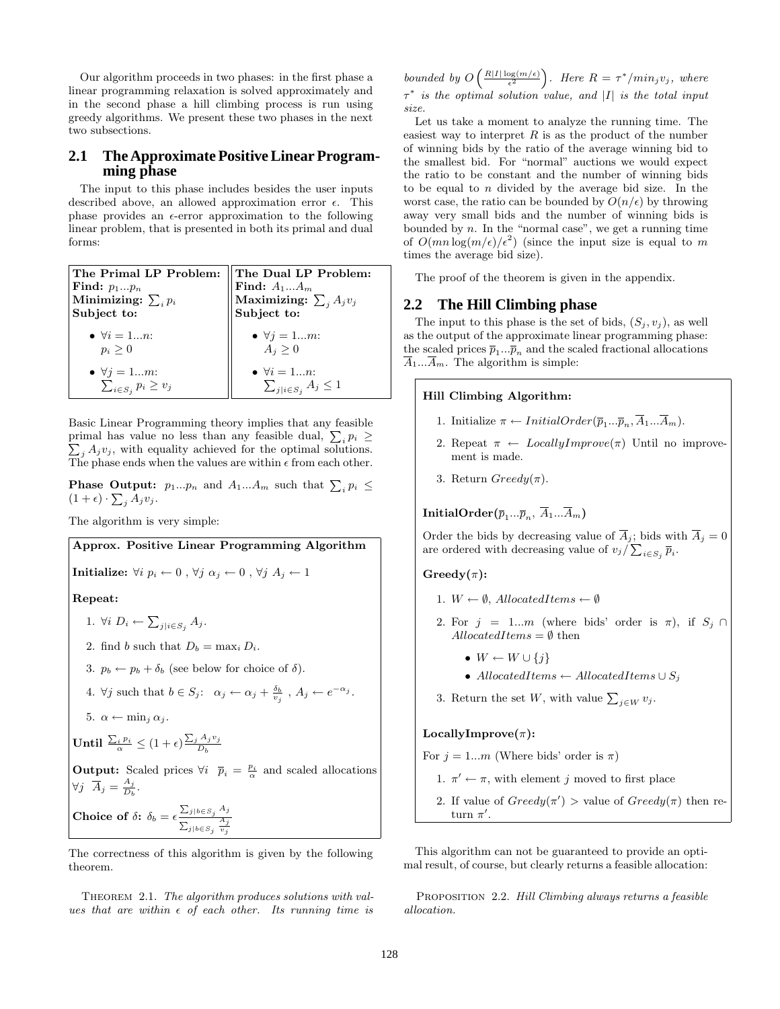Our algorithm proceeds in two phases: in the first phase a linear programming relaxation is solved approximately and in the second phase a hill climbing process is run using greedy algorithms. We present these two phases in the next two subsections.

## **2.1 The Approximate Positive Linear Programming phase**

The input to this phase includes besides the user inputs described above, an allowed approximation error  $\epsilon$ . This phase provides an  $\epsilon$ -error approximation to the following linear problem, that is presented in both its primal and dual forms:

| The Primal LP Problem:                                        | The Dual LP Problem:                                          |
|---------------------------------------------------------------|---------------------------------------------------------------|
| Find: $p_1p_n$                                                | Find: $A_1A_m$                                                |
| Minimizing: $\sum_i p_i$                                      | Maximizing: $\sum_i A_i v_i$                                  |
| Subject to:                                                   | Subject to:                                                   |
| $\bullet \; \forall i=1n$ :<br>$p_i > 0$                      | $\bullet \ \forall j=1m$ :<br>$A_i \geq 0$                    |
| $\bullet \ \forall j=1m$ :<br>$\sum_{i \in S_j} p_i \geq v_j$ | $\bullet \; \forall i=1n$ :<br>$\sum_{j i\in S_j} A_j \leq 1$ |

Basic Linear Programming theory implies that any feasible primal has value no less than any feasible dual,  $\sum_i p_i \geq$ primal has value no less than any leasible dual,  $\sum_i p_i \le \sum_j A_j v_j$ , with equality achieved for the optimal solutions. The phase ends when the values are within  $\epsilon$  from each other.

**Phase Output:**  $p_1...p_n$  and  $A_1...A_m$  such that  $\sum_i p_i \leq$  $(1+\epsilon)\cdot\sum_j\tilde{A}_j v_j.$ 

The algorithm is very simple:

## Approx. Positive Linear Programming Algorithm

Initialize:  $\forall i \ p_i \leftarrow 0 , \forall j \ \alpha_j \leftarrow 0 , \forall j \ A_j \leftarrow 1$ 

Repeat:

1.  $\forall i \ D_i \leftarrow \sum_{j \mid i \in S_j} A_j.$ 2. find b such that  $D_b = \max_i D_i$ . 3.  $p_b \leftarrow p_b + \delta_b$  (see below for choice of  $\delta$ ). 4.  $\forall j$  such that  $b \in S_j$ :  $\alpha_j \leftarrow \alpha_j + \frac{\delta_b}{v_j}$ ,  $A_j \leftarrow e^{-\alpha_j}$ . 5.  $\alpha \leftarrow \min_j \alpha_j$ . Until  $\frac{\sum_i p_i}{\alpha} \leq (1+\epsilon) \frac{\sum_j A_j v_j}{D_b}$  $D_b$ **Output:** Scaled prices  $\forall i \quad \overline{p}_i = \frac{p_i}{\alpha}$  and scaled allocations  $\forall j \ \overline{A}_j = \frac{A_j}{D_i}$  $\frac{A_j}{D_b}$ . Choice of  $\delta$ :  $\delta_b = \epsilon \frac{\sum_{j|b \in S_j} A_j}{A_j}$  $\sum_{j|b\in S_j}\frac{A_j}{v_j}$ 

The correctness of this algorithm is given by the following theorem.

THEOREM 2.1. The algorithm produces solutions with values that are within  $\epsilon$  of each other. Its running time is

bounded by  $O\left(\frac{R|I|\log(m/\epsilon)}{\epsilon^2}\right)$ . Here  $R = \tau^* / min_j v_j$ , where  $\tau^*$  is the optimal solution value, and |I| is the total input size.

Let us take a moment to analyze the running time. The easiest way to interpret  $R$  is as the product of the number of winning bids by the ratio of the average winning bid to the smallest bid. For "normal" auctions we would expect the ratio to be constant and the number of winning bids to be equal to  $n$  divided by the average bid size. In the worst case, the ratio can be bounded by  $O(n/\epsilon)$  by throwing away very small bids and the number of winning bids is bounded by  $n$ . In the "normal case", we get a running time of  $O(mn \log(m/\epsilon)/\epsilon^2)$  (since the input size is equal to m times the average bid size).

The proof of the theorem is given in the appendix.

# **2.2 The Hill Climbing phase**

The input to this phase is the set of bids,  $(S_i, v_i)$ , as well as the output of the approximate linear programming phase: the scaled prices  $\overline{p}_1...\overline{p}_n$  and the scaled fractional allocations  $\overline{A}_1...\overline{A}_m$ . The algorithm is simple:

#### Hill Climbing Algorithm:

- 1. Initialize  $\pi \leftarrow InitialOrder(\overline{p}_1...\overline{p}_n, \overline{A}_1...\overline{A}_m).$
- 2. Repeat  $\pi \leftarrow LocallyImprove(\pi)$  Until no improvement is made.
- 3. Return  $Greedy(\pi)$ .

# $\operatorname{InitialOrder}(\overline{p}_1...\overline{p}_n,\ A_1...A_m)$

Order the bids by decreasing value of  $\overline{A}_j$ ; bids with  $\overline{A}_j = 0$ are ordered with decreasing value of  $v_j / \sum_{i \in S_j} \overline{p}_i$ .

## Greedy $(\pi)$ :

- 1.  $W \leftarrow \emptyset$ . AllocatedItems  $\leftarrow \emptyset$
- 2. For  $j = 1...m$  (where bids' order is  $\pi$ ), if  $S_j \cap$ AllocatedItems  $=$   $\emptyset$  then
	- $W \leftarrow W \cup \{j\}$
	- AllocatedItems  $\leftarrow$  AllocatedItems  $\cup$  S<sub>i</sub>
- 3. Return the set W, with value  $\sum_{j \in W} v_j$ .

## LocallyImprove $(\pi)$ :

For  $j = 1...m$  (Where bids' order is  $\pi$ )

- 1.  $\pi' \leftarrow \pi$ , with element j moved to first place
- 2. If value of  $Greedy(\pi') >$  value of  $Greedy(\pi)$  then return  $\pi'$ .

This algorithm can not be guaranteed to provide an optimal result, of course, but clearly returns a feasible allocation:

PROPOSITION 2.2. Hill Climbing always returns a feasible allocation.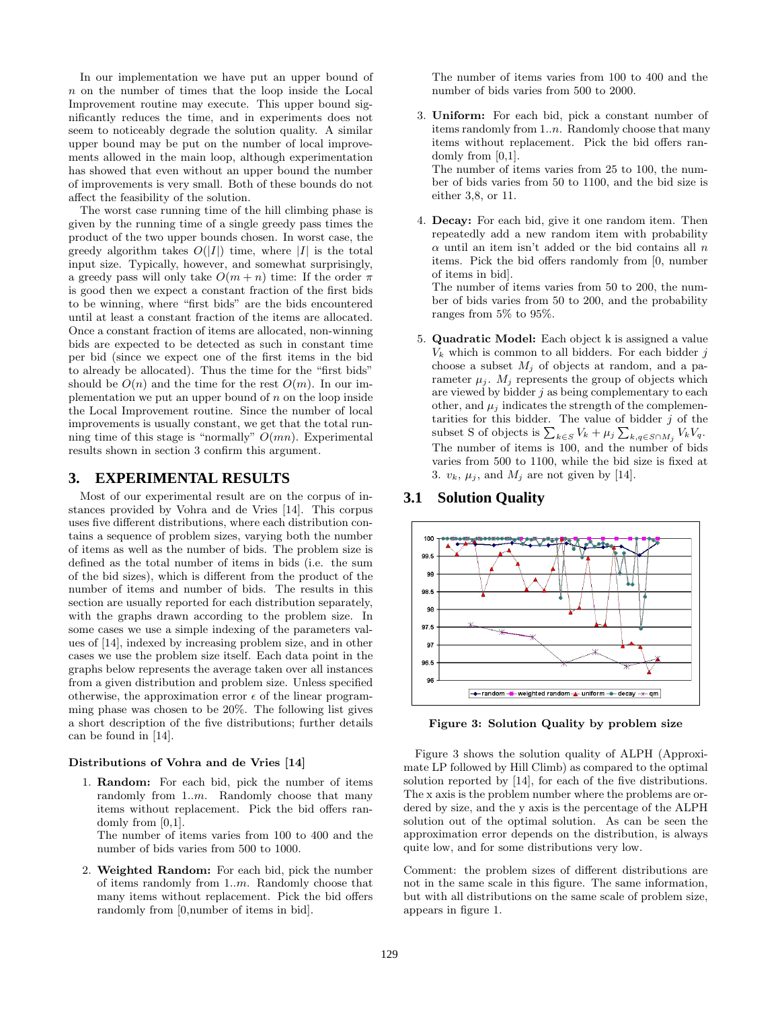In our implementation we have put an upper bound of  $n$  on the number of times that the loop inside the Local Improvement routine may execute. This upper bound significantly reduces the time, and in experiments does not seem to noticeably degrade the solution quality. A similar upper bound may be put on the number of local improvements allowed in the main loop, although experimentation has showed that even without an upper bound the number of improvements is very small. Both of these bounds do not affect the feasibility of the solution.

The worst case running time of the hill climbing phase is given by the running time of a single greedy pass times the product of the two upper bounds chosen. In worst case, the greedy algorithm takes  $O(|I|)$  time, where |I| is the total input size. Typically, however, and somewhat surprisingly, a greedy pass will only take  $O(m + n)$  time: If the order  $\pi$ is good then we expect a constant fraction of the first bids to be winning, where "first bids" are the bids encountered until at least a constant fraction of the items are allocated. Once a constant fraction of items are allocated, non-winning bids are expected to be detected as such in constant time per bid (since we expect one of the first items in the bid to already be allocated). Thus the time for the "first bids" should be  $O(n)$  and the time for the rest  $O(m)$ . In our implementation we put an upper bound of  $n$  on the loop inside the Local Improvement routine. Since the number of local improvements is usually constant, we get that the total running time of this stage is "normally"  $O(mn)$ . Experimental results shown in section 3 confirm this argument.

## **3. EXPERIMENTAL RESULTS**

Most of our experimental result are on the corpus of instances provided by Vohra and de Vries [14]. This corpus uses five different distributions, where each distribution contains a sequence of problem sizes, varying both the number of items as well as the number of bids. The problem size is defined as the total number of items in bids (i.e. the sum of the bid sizes), which is different from the product of the number of items and number of bids. The results in this section are usually reported for each distribution separately, with the graphs drawn according to the problem size. In some cases we use a simple indexing of the parameters values of [14], indexed by increasing problem size, and in other cases we use the problem size itself. Each data point in the graphs below represents the average taken over all instances from a given distribution and problem size. Unless specified otherwise, the approximation error  $\epsilon$  of the linear programming phase was chosen to be 20%. The following list gives a short description of the five distributions; further details can be found in [14].

#### Distributions of Vohra and de Vries [14]

1. Random: For each bid, pick the number of items randomly from 1..m. Randomly choose that many items without replacement. Pick the bid offers randomly from [0,1]. The number of items varies from 100 to 400 and the

number of bids varies from 500 to 1000.

2. Weighted Random: For each bid, pick the number of items randomly from 1..m. Randomly choose that many items without replacement. Pick the bid offers randomly from [0,number of items in bid].

The number of items varies from 100 to 400 and the number of bids varies from 500 to 2000.

3. Uniform: For each bid, pick a constant number of items randomly from 1..n. Randomly choose that many items without replacement. Pick the bid offers randomly from [0,1].

The number of items varies from 25 to 100, the number of bids varies from 50 to 1100, and the bid size is either 3,8, or 11.

4. Decay: For each bid, give it one random item. Then repeatedly add a new random item with probability  $\alpha$  until an item isn't added or the bid contains all n items. Pick the bid offers randomly from [0, number of items in bid].

The number of items varies from 50 to 200, the number of bids varies from 50 to 200, and the probability ranges from 5% to 95%.

5. Quadratic Model: Each object k is assigned a value  $V_k$  which is common to all bidders. For each bidder j choose a subset  $M_i$  of objects at random, and a parameter  $\mu_j$ .  $M_j$  represents the group of objects which are viewed by bidder  $j$  as being complementary to each other, and  $\mu_j$  indicates the strength of the complementarities for this bidder. The value of bidder  $j$  of the subset S of objects is  $\sum_{k \in S} V_k + \mu_j \sum_{k,q \in S \cap M_j} V_k V_q$ . The number of items is 100, and the number of bids varies from 500 to 1100, while the bid size is fixed at 3.  $v_k$ ,  $\mu_j$ , and  $M_j$  are not given by [14].



# **3.1 Solution Quality**

Figure 3: Solution Quality by problem size

Figure 3 shows the solution quality of ALPH (Approximate LP followed by Hill Climb) as compared to the optimal solution reported by [14], for each of the five distributions. The x axis is the problem number where the problems are ordered by size, and the y axis is the percentage of the ALPH solution out of the optimal solution. As can be seen the approximation error depends on the distribution, is always quite low, and for some distributions very low.

Comment: the problem sizes of different distributions are not in the same scale in this figure. The same information, but with all distributions on the same scale of problem size, appears in figure 1.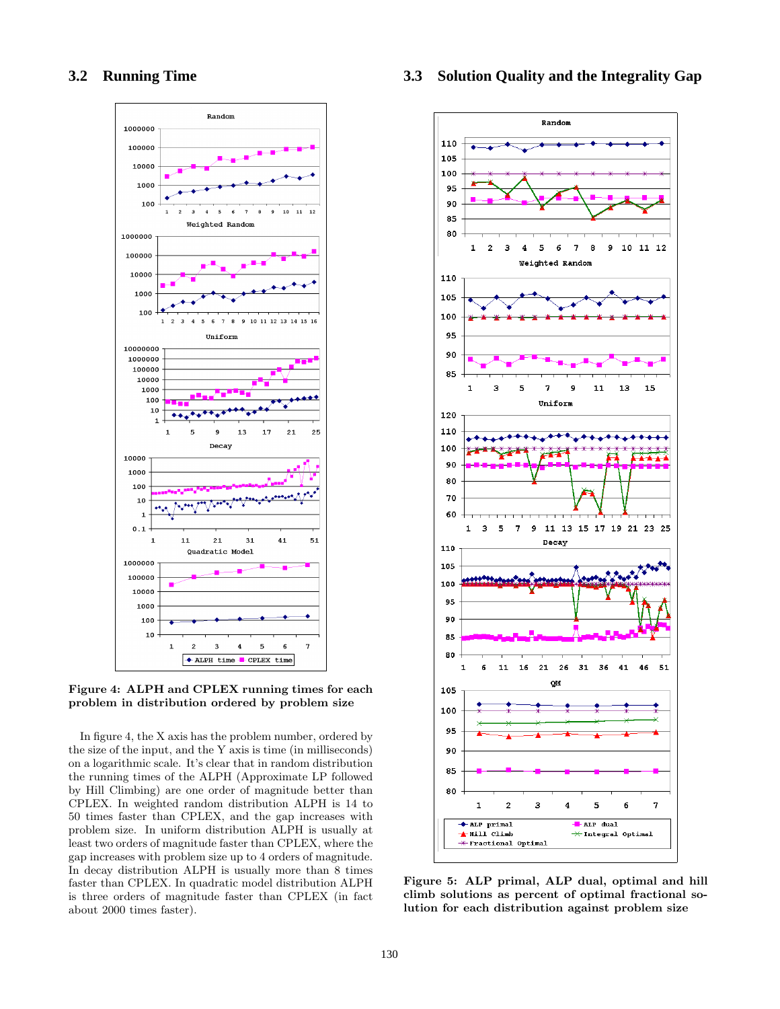



Figure 4: ALPH and CPLEX running times for each problem in distribution ordered by problem size

In figure 4, the X axis has the problem number, ordered by the size of the input, and the Y axis is time (in milliseconds) on a logarithmic scale. It's clear that in random distribution the running times of the ALPH (Approximate LP followed by Hill Climbing) are one order of magnitude better than CPLEX. In weighted random distribution ALPH is 14 to 50 times faster than CPLEX, and the gap increases with problem size. In uniform distribution ALPH is usually at least two orders of magnitude faster than CPLEX, where the gap increases with problem size up to 4 orders of magnitude. In decay distribution ALPH is usually more than 8 times faster than CPLEX. In quadratic model distribution ALPH is three orders of magnitude faster than CPLEX (in fact about 2000 times faster).

# **3.3 Solution Quality and the Integrality Gap**



Figure 5: ALP primal, ALP dual, optimal and hill climb solutions as percent of optimal fractional solution for each distribution against problem size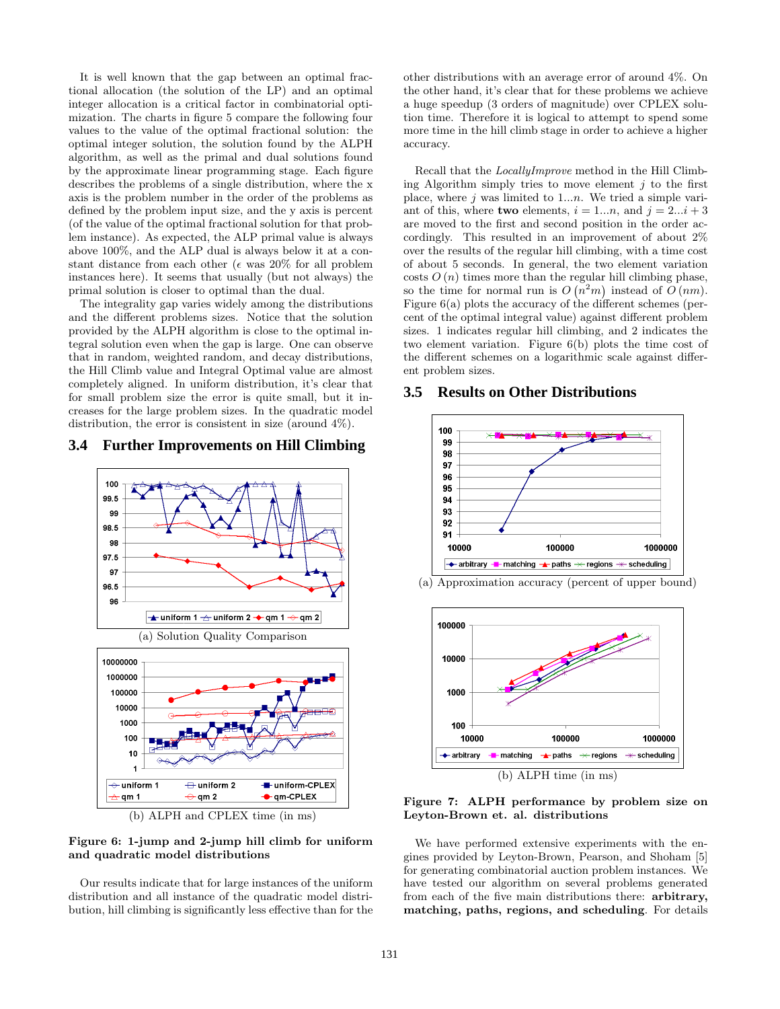It is well known that the gap between an optimal fractional allocation (the solution of the LP) and an optimal integer allocation is a critical factor in combinatorial optimization. The charts in figure 5 compare the following four values to the value of the optimal fractional solution: the optimal integer solution, the solution found by the ALPH algorithm, as well as the primal and dual solutions found by the approximate linear programming stage. Each figure describes the problems of a single distribution, where the x axis is the problem number in the order of the problems as defined by the problem input size, and the y axis is percent (of the value of the optimal fractional solution for that problem instance). As expected, the ALP primal value is always above 100%, and the ALP dual is always below it at a constant distance from each other ( $\epsilon$  was 20% for all problem instances here). It seems that usually (but not always) the primal solution is closer to optimal than the dual.

The integrality gap varies widely among the distributions and the different problems sizes. Notice that the solution provided by the ALPH algorithm is close to the optimal integral solution even when the gap is large. One can observe that in random, weighted random, and decay distributions, the Hill Climb value and Integral Optimal value are almost completely aligned. In uniform distribution, it's clear that for small problem size the error is quite small, but it increases for the large problem sizes. In the quadratic model distribution, the error is consistent in size (around 4%).

## **3.4 Further Improvements on Hill Climbing**



(b) ALPH and CPLEX time (in ms)

## Figure 6: 1-jump and 2-jump hill climb for uniform and quadratic model distributions

Our results indicate that for large instances of the uniform distribution and all instance of the quadratic model distribution, hill climbing is significantly less effective than for the other distributions with an average error of around 4%. On the other hand, it's clear that for these problems we achieve a huge speedup (3 orders of magnitude) over CPLEX solution time. Therefore it is logical to attempt to spend some more time in the hill climb stage in order to achieve a higher accuracy.

Recall that the LocallyImprove method in the Hill Climbing Algorithm simply tries to move element  $j$  to the first place, where  $j$  was limited to 1... $n$ . We tried a simple variant of this, where **two** elements,  $i = 1...n$ , and  $j = 2...i + 3$ are moved to the first and second position in the order accordingly. This resulted in an improvement of about 2% over the results of the regular hill climbing, with a time cost of about 5 seconds. In general, the two element variation costs  $O(n)$  times more than the regular hill climbing phase, so the time for normal run is  $O(n^2m)$  instead of  $O(nm)$ . Figure 6(a) plots the accuracy of the different schemes (percent of the optimal integral value) against different problem sizes. 1 indicates regular hill climbing, and 2 indicates the two element variation. Figure 6(b) plots the time cost of the different schemes on a logarithmic scale against different problem sizes.

## **3.5 Results on Other Distributions**







Figure 7: ALPH performance by problem size on Leyton-Brown et. al. distributions

We have performed extensive experiments with the engines provided by Leyton-Brown, Pearson, and Shoham [5] for generating combinatorial auction problem instances. We have tested our algorithm on several problems generated from each of the five main distributions there: arbitrary, matching, paths, regions, and scheduling. For details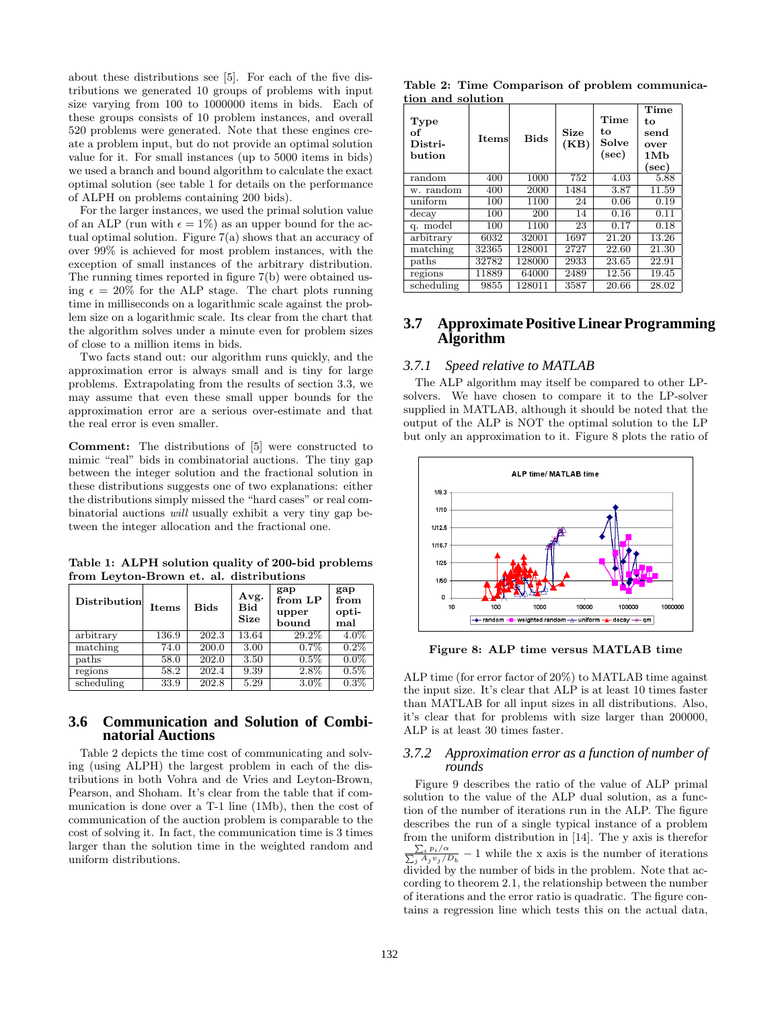about these distributions see [5]. For each of the five distributions we generated 10 groups of problems with input size varying from 100 to 1000000 items in bids. Each of these groups consists of 10 problem instances, and overall 520 problems were generated. Note that these engines create a problem input, but do not provide an optimal solution value for it. For small instances (up to 5000 items in bids) we used a branch and bound algorithm to calculate the exact optimal solution (see table 1 for details on the performance of ALPH on problems containing 200 bids).

For the larger instances, we used the primal solution value of an ALP (run with  $\epsilon = 1\%$ ) as an upper bound for the actual optimal solution. Figure  $7(a)$  shows that an accuracy of over 99% is achieved for most problem instances, with the exception of small instances of the arbitrary distribution. The running times reported in figure 7(b) were obtained using  $\epsilon = 20\%$  for the ALP stage. The chart plots running time in milliseconds on a logarithmic scale against the problem size on a logarithmic scale. Its clear from the chart that the algorithm solves under a minute even for problem sizes of close to a million items in bids.

Two facts stand out: our algorithm runs quickly, and the approximation error is always small and is tiny for large problems. Extrapolating from the results of section 3.3, we may assume that even these small upper bounds for the approximation error are a serious over-estimate and that the real error is even smaller.

Comment: The distributions of [5] were constructed to mimic "real" bids in combinatorial auctions. The tiny gap between the integer solution and the fractional solution in these distributions suggests one of two explanations: either the distributions simply missed the "hard cases" or real combinatorial auctions will usually exhibit a very tiny gap between the integer allocation and the fractional one.

Table 1: ALPH solution quality of 200-bid problems from Leyton-Brown et. al. distributions

| <b>Distribution</b> | <b>Items</b> | <b>Bids</b> | Avg.<br><b>Bid</b><br><b>Size</b> | gap<br>from LP<br>upper<br>bound | gap<br>from<br>opti-<br>mal |
|---------------------|--------------|-------------|-----------------------------------|----------------------------------|-----------------------------|
| arbitrary           | 136.9        | 202.3       | 13.64                             | 29.2%                            | $4.0\%$                     |
| matching            | 74.0         | 200.0       | 3.00                              | $0.7\%$                          | $0.2\%$                     |
| paths               | 58.0         | 202.0       | 3.50                              | $0.5\%$                          | $0.0\%$                     |
| regions             | 58.2         | 202.4       | 9.39                              | $2.8\%$                          | $0.5\%$                     |
| scheduling          | 33.9         | 202.8       | 5.29                              | $3.0\%$                          | 0.3%                        |

## **3.6 Communication and Solution of Combinatorial Auctions**

Table 2 depicts the time cost of communicating and solving (using ALPH) the largest problem in each of the distributions in both Vohra and de Vries and Leyton-Brown, Pearson, and Shoham. It's clear from the table that if communication is done over a T-1 line (1Mb), then the cost of communication of the auction problem is comparable to the cost of solving it. In fact, the communication time is 3 times larger than the solution time in the weighted random and uniform distributions.

Table 2: Time Comparison of problem communication and solution

| Type<br>оf<br>Distri-<br>bution | <b>Items</b> | <b>Bids</b> | Size<br>(KB) | Time<br>tο<br>Solve<br>(sec) | Time<br>tο<br>send<br>over<br>1Mb<br>(sec) |
|---------------------------------|--------------|-------------|--------------|------------------------------|--------------------------------------------|
| random                          | 400          | 1000        | 752          | 4.03                         | 5.88                                       |
| w. random                       | 400          | 2000        | 1484         | 3.87                         | 11.59                                      |
| uniform                         | 100          | 1100        | 24           | 0.06                         | 0.19                                       |
| decay                           | 100          | 200         | 14           | 0.16                         | 0.11                                       |
| q. model                        | 100          | 1100        | 23           | 0.17                         | 0.18                                       |
| arbitrary                       | 6032         | 32001       | 1697         | 21.20                        | 13.26                                      |
| matching                        | 32365        | 128001      | 2727         | 22.60                        | $\overline{21.30}$                         |
| paths                           | 32782        | 128000      | 2933         | 23.65                        | 22.91                                      |
| regions                         | 11889        | 64000       | 2489         | 12.56                        | 19.45                                      |
| scheduling                      | 9855         | 128011      | 3587         | 20.66                        | 28.02                                      |

# **3.7 Approximate Positive Linear Programming Algorithm**

# *3.7.1 Speed relative to MATLAB*

The ALP algorithm may itself be compared to other LPsolvers. We have chosen to compare it to the LP-solver supplied in MATLAB, although it should be noted that the output of the ALP is NOT the optimal solution to the LP but only an approximation to it. Figure 8 plots the ratio of



Figure 8: ALP time versus MATLAB time

ALP time (for error factor of 20%) to MATLAB time against the input size. It's clear that ALP is at least 10 times faster than MATLAB for all input sizes in all distributions. Also, it's clear that for problems with size larger than 200000, ALP is at least 30 times faster.

#### *3.7.2 Approximation error as a function of number of rounds*

Figure 9 describes the ratio of the value of ALP primal solution to the value of the ALP dual solution, as a function of the number of iterations run in the ALP. The figure describes the run of a single typical instance of a problem from the uniform distribution in [14]. The y axis is therefor  $\frac{\sum_i p_i/\alpha}{\sum_j A_j v_j/D_b} - 1$  while the x axis is the number of iterations divided by the number of bids in the problem. Note that according to theorem 2.1, the relationship between the number of iterations and the error ratio is quadratic. The figure contains a regression line which tests this on the actual data,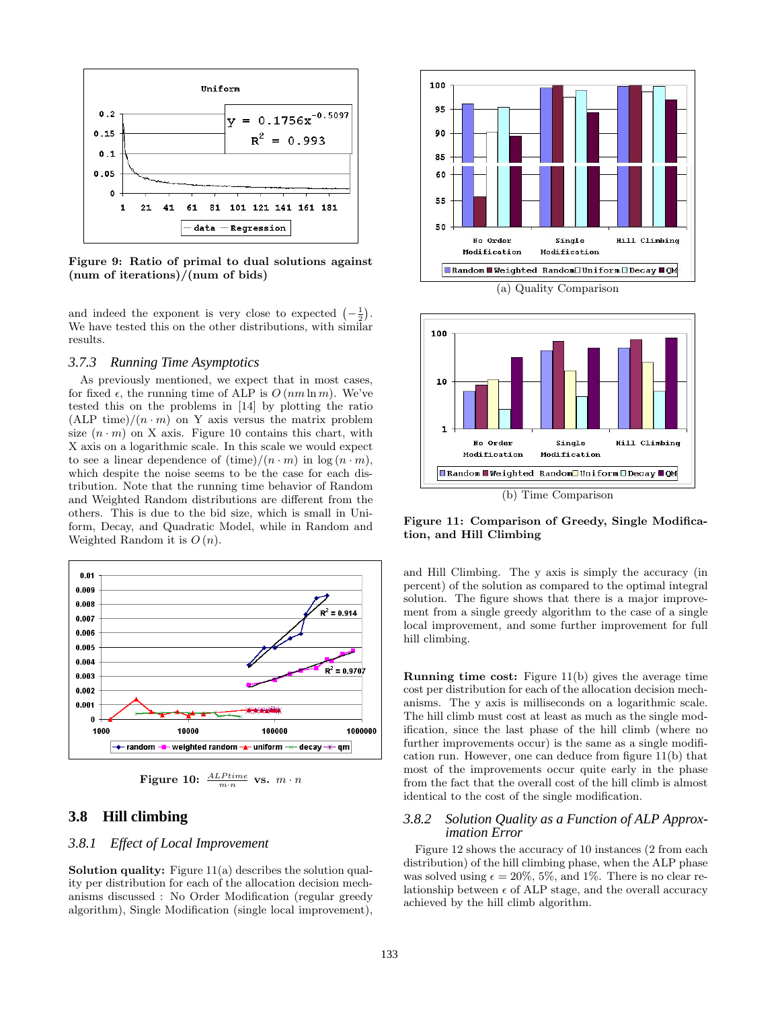

Figure 9: Ratio of primal to dual solutions against (num of iterations)/(num of bids)

and indeed the exponent is very close to expected  $\left(-\frac{1}{2}\right)$ . We have tested this on the other distributions, with similar results.

## *3.7.3 Running Time Asymptotics*

As previously mentioned, we expect that in most cases, for fixed  $\epsilon$ , the running time of ALP is  $O(nm \ln m)$ . We've tested this on the problems in [14] by plotting the ratio (ALP time)/ $(n \cdot m)$  on Y axis versus the matrix problem size  $(n \cdot m)$  on X axis. Figure 10 contains this chart, with X axis on a logarithmic scale. In this scale we would expect to see a linear dependence of  $(\text{time})/(n \cdot m)$  in  $\log(n \cdot m)$ , which despite the noise seems to be the case for each distribution. Note that the running time behavior of Random and Weighted Random distributions are different from the others. This is due to the bid size, which is small in Uniform, Decay, and Quadratic Model, while in Random and Weighted Random it is  $O(n)$ .



Figure 10:  $\frac{ALPtime}{m \cdot n}$  vs.  $m \cdot n$ 

## **3.8 Hill climbing**

## *3.8.1 Effect of Local Improvement*

Solution quality: Figure 11(a) describes the solution quality per distribution for each of the allocation decision mechanisms discussed : No Order Modification (regular greedy algorithm), Single Modification (single local improvement),





## Figure 11: Comparison of Greedy, Single Modification, and Hill Climbing

and Hill Climbing. The y axis is simply the accuracy (in percent) of the solution as compared to the optimal integral solution. The figure shows that there is a major improvement from a single greedy algorithm to the case of a single local improvement, and some further improvement for full hill climbing.

Running time cost: Figure 11(b) gives the average time cost per distribution for each of the allocation decision mechanisms. The y axis is milliseconds on a logarithmic scale. The hill climb must cost at least as much as the single modification, since the last phase of the hill climb (where no further improvements occur) is the same as a single modification run. However, one can deduce from figure 11(b) that most of the improvements occur quite early in the phase from the fact that the overall cost of the hill climb is almost identical to the cost of the single modification.

## *3.8.2 Solution Quality as a Function of ALP Approximation Error*

Figure 12 shows the accuracy of 10 instances (2 from each distribution) of the hill climbing phase, when the ALP phase was solved using  $\epsilon = 20\%$ , 5%, and 1%. There is no clear relationship between  $\epsilon$  of ALP stage, and the overall accuracy achieved by the hill climb algorithm.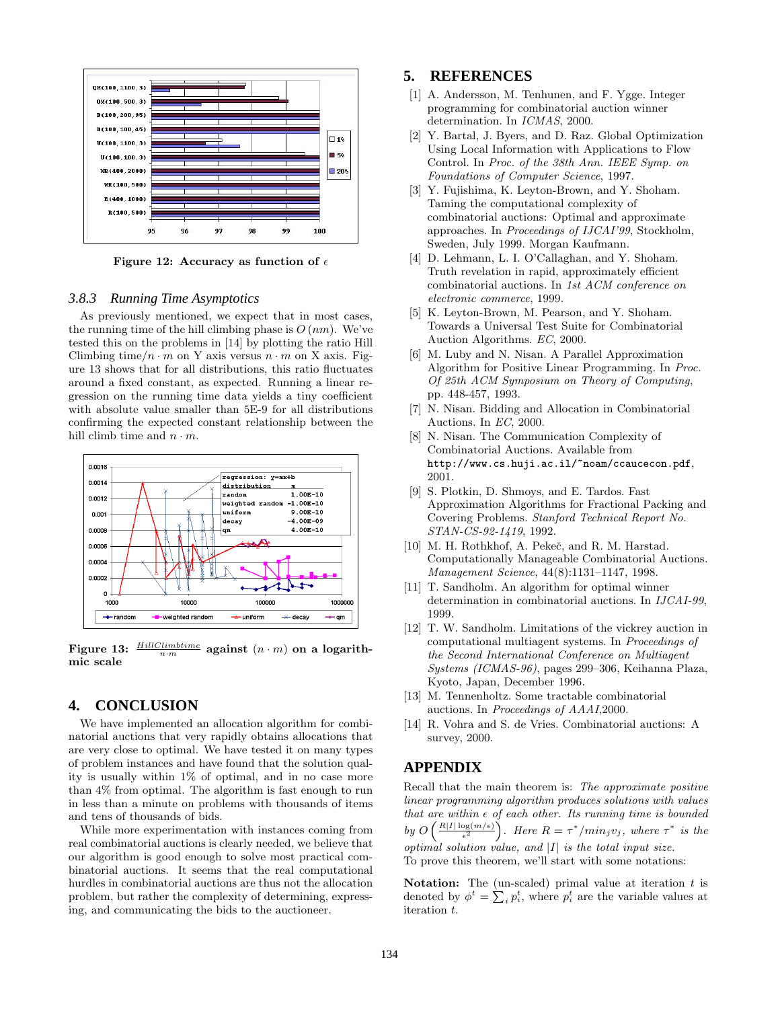

Figure 12: Accuracy as function of  $\epsilon$ 

## *3.8.3 Running Time Asymptotics*

As previously mentioned, we expect that in most cases, the running time of the hill climbing phase is  $O(nm)$ . We've tested this on the problems in [14] by plotting the ratio Hill Climbing time/n · m on Y axis versus  $n \cdot m$  on X axis. Figure 13 shows that for all distributions, this ratio fluctuates around a fixed constant, as expected. Running a linear regression on the running time data yields a tiny coefficient with absolute value smaller than 5E-9 for all distributions confirming the expected constant relationship between the hill climb time and  $n \cdot m$ .



Figure 13:  $\frac{HillClimbtime}{n\cdot m}$  against  $(n\cdot m)$  on a logarithmic scale

## **4. CONCLUSION**

We have implemented an allocation algorithm for combinatorial auctions that very rapidly obtains allocations that are very close to optimal. We have tested it on many types of problem instances and have found that the solution quality is usually within 1% of optimal, and in no case more than 4% from optimal. The algorithm is fast enough to run in less than a minute on problems with thousands of items and tens of thousands of bids.

While more experimentation with instances coming from real combinatorial auctions is clearly needed, we believe that our algorithm is good enough to solve most practical combinatorial auctions. It seems that the real computational hurdles in combinatorial auctions are thus not the allocation problem, but rather the complexity of determining, expressing, and communicating the bids to the auctioneer.

## **5. REFERENCES**

- [1] A. Andersson, M. Tenhunen, and F. Ygge. Integer programming for combinatorial auction winner determination. In ICMAS, 2000.
- [2] Y. Bartal, J. Byers, and D. Raz. Global Optimization Using Local Information with Applications to Flow Control. In Proc. of the 38th Ann. IEEE Symp. on Foundations of Computer Science, 1997.
- [3] Y. Fujishima, K. Leyton-Brown, and Y. Shoham. Taming the computational complexity of combinatorial auctions: Optimal and approximate approaches. In Proceedings of IJCAI'99, Stockholm, Sweden, July 1999. Morgan Kaufmann.
- [4] D. Lehmann, L. I. O'Callaghan, and Y. Shoham. Truth revelation in rapid, approximately efficient combinatorial auctions. In 1st ACM conference on electronic commerce, 1999.
- [5] K. Leyton-Brown, M. Pearson, and Y. Shoham. Towards a Universal Test Suite for Combinatorial Auction Algorithms. EC, 2000.
- [6] M. Luby and N. Nisan. A Parallel Approximation Algorithm for Positive Linear Programming. In Proc. Of 25th ACM Symposium on Theory of Computing, pp. 448-457, 1993.
- [7] N. Nisan. Bidding and Allocation in Combinatorial Auctions. In EC, 2000.
- [8] N. Nisan. The Communication Complexity of Combinatorial Auctions. Available from http://www.cs.huji.ac.il/~noam/ccaucecon.pdf, 2001.
- [9] S. Plotkin, D. Shmoys, and E. Tardos. Fast Approximation Algorithms for Fractional Packing and Covering Problems. Stanford Technical Report No. STAN-CS-92-1419, 1992.
- [10] M. H. Rothkhof, A. Pekeč, and R. M. Harstad. Computationally Manageable Combinatorial Auctions. Management Science, 44(8):1131–1147, 1998.
- [11] T. Sandholm. An algorithm for optimal winner determination in combinatorial auctions. In IJCAI-99, 1999.
- [12] T. W. Sandholm. Limitations of the vickrey auction in computational multiagent systems. In Proceedings of the Second International Conference on Multiagent Systems (ICMAS-96), pages 299–306, Keihanna Plaza, Kyoto, Japan, December 1996.
- [13] M. Tennenholtz. Some tractable combinatorial auctions. In Proceedings of AAAI,2000.
- [14] R. Vohra and S. de Vries. Combinatorial auctions: A survey, 2000.

# **APPENDIX**

Recall that the main theorem is: The approximate positive linear programming algorithm produces solutions with values that are within  $\epsilon$  of each other. Its running time is bounded by  $O\left(\frac{R|I|\log(m/\epsilon)}{\epsilon^2}\right)$ . Here  $R = \tau^*/min_j v_j$ , where  $\tau^*$  is the optimal solution value, and  $|I|$  is the total input size. To prove this theorem, we'll start with some notations:

Notation: The (un-scaled) primal value at iteration  $t$  is denoted by  $\phi^t = \sum_i p_i^t$ , where  $p_i^t$  are the variable values at iteration t.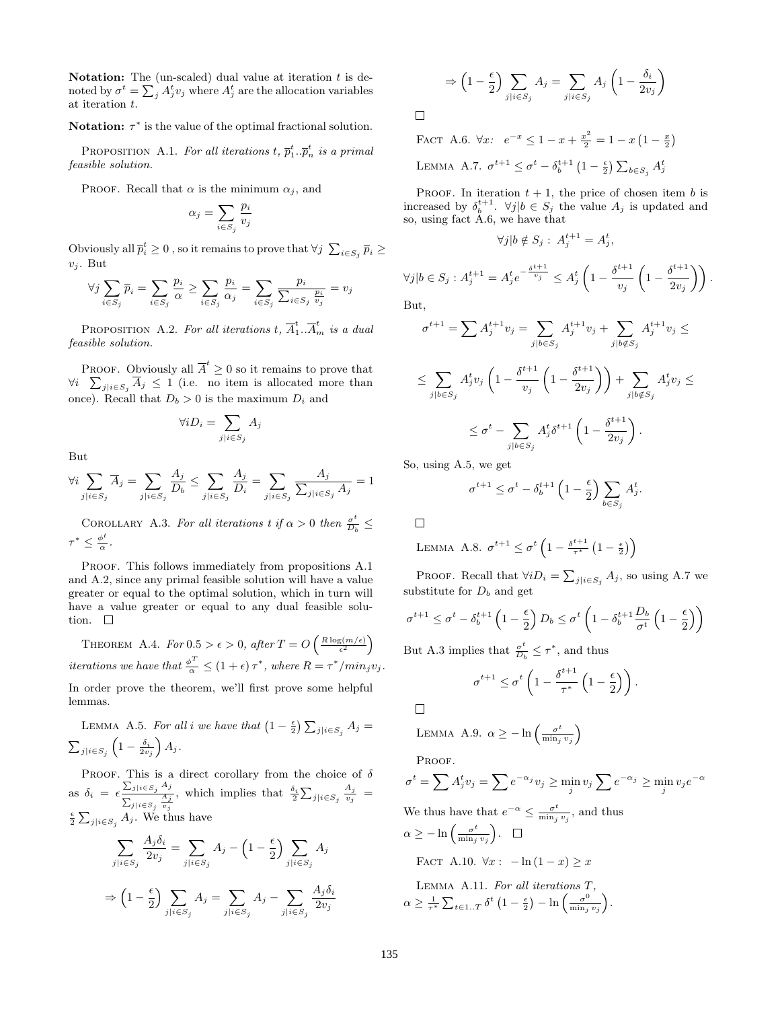Notation: The (un-scaled) dual value at iteration  $t$  is denoted by  $\sigma^t = \sum_j A_j^t v_j$  where  $A_j^t$  are the allocation variables at iteration t.

Notation:  $\tau^*$  is the value of the optimal fractional solution.

PROPOSITION A.1. For all iterations t,  $\overline{p}_1^t..\overline{p}_n^t$  is a primal feasible solution.

PROOF. Recall that  $\alpha$  is the minimum  $\alpha_j$ , and

$$
\alpha_j = \sum_{i \in S_j} \frac{p_i}{v_j}
$$

Obviously all  $\overline{p}_i^t \geq 0$ , so it remains to prove that  $\forall j$   $\sum_{i \in S_j} \overline{p}_i \geq 0$  $v_i$ . But

$$
\forall j \sum_{i \in S_j} \overline{p}_i = \sum_{i \in S_j} \frac{p_i}{\alpha} \ge \sum_{i \in S_j} \frac{p_i}{\alpha_j} = \sum_{i \in S_j} \frac{p_i}{\sum_{i \in S_j} \frac{p_i}{v_j}} = v_j
$$

PROPOSITION A.2. For all iterations t,  $\overline{A}_1^t$ .  $\overline{A}_m^t$  is a dual feasible solution.

PROOF. Obviously all  $\overline{A}^t \geq 0$  so it remains to prove that  $\forall i \quad \sum_{j|i \in S_j} \overline{A}_j \leq 1$  (i.e. no item is allocated more than once). Recall that  $D_b > 0$  is the maximum  $D_i$  and

$$
\forall i D_i = \sum_{j|i \in S_j} A_j
$$

But

$$
\forall i \sum_{j \mid i \in S_j} \overline{A}_j = \sum_{j \mid i \in S_j} \frac{A_j}{D_b} \leq \sum_{j \mid i \in S_j} \frac{A_j}{D_i} = \sum_{j \mid i \in S_j} \frac{A_j}{\sum_{j \mid i \in S_j} A_j} = 1
$$

COROLLARY A.3. For all iterations t if  $\alpha > 0$  then  $\frac{\sigma^t}{D}$  $\frac{\sigma^c}{D_b} \leq$  $\tau^* \leq \frac{\phi^t}{\alpha}$  $\frac{\rho}{\alpha}$  .

PROOF. This follows immediately from propositions A.1 and A.2, since any primal feasible solution will have a value greater or equal to the optimal solution, which in turn will have a value greater or equal to any dual feasible solution.  $\square$ 

THEOREM A.4. For  $0.5 > \epsilon > 0$ , after  $T = O\left(\frac{R \log(m/\epsilon)}{\epsilon^2}\right)$ *iterations we have that*  $\frac{\phi^T}{\alpha} \leq (1+\epsilon)\tau^*$ , *where*  $R = \tau^* / min_j v_j$ .

In order prove the theorem, we'll first prove some helpful lemmas.

LEMMA A.5. For all *i* we have that 
$$
(1 - \frac{\epsilon}{2}) \sum_{j|i \in S_j} A_j = \sum_{j|i \in S_j} (1 - \frac{\delta_i}{2v_j}) A_j
$$
.

PROOF. This is a direct corollary from the choice of  $\delta$ as  $\delta_i = \epsilon \frac{\sum_{j|i \in S_j} A_j}{A_j}$  $\sum_{j|i \in S_j} \frac{A_j}{v_j}$ , which implies that  $\frac{\delta_i}{2} \sum_{j|i \in S_j} \frac{A_j}{v_j}$  $\frac{A_j}{v_j} =$  $\frac{\epsilon}{2} \sum_{j|i \in S_j} A_j$ . We thus have

$$
\sum_{j|i \in S_j} \frac{A_j \delta_i}{2v_j} = \sum_{j|i \in S_j} A_j - \left(1 - \frac{\epsilon}{2}\right) \sum_{j|i \in S_j} A_j
$$

$$
\Rightarrow \left(1 - \frac{\epsilon}{2}\right) \sum_{j|i \in S_j} A_j = \sum_{j|i \in S_j} A_j - \sum_{j|i \in S_j} \frac{A_j \delta_i}{2v_j}
$$

$$
\Rightarrow \left(1 - \frac{\epsilon}{2}\right) \sum_{j \mid i \in S_j} A_j = \sum_{j \mid i \in S_j} A_j \left(1 - \frac{\delta_i}{2v_j}\right)
$$

 $\Box$ 

FACT A.6.  $\forall x: e^{-x} \leq 1 - x + \frac{x^2}{2} = 1 - x \left(1 - \frac{x}{2}\right)$ 

LEMMA A.7.  $\sigma^{t+1} \leq \sigma^t - \delta_b^{t+1} \left(1 - \frac{\epsilon}{2}\right) \sum_{b \in S_j} A_j^t$ 

PROOF. In iteration  $t + 1$ , the price of chosen item b is increased by  $\delta_b^{t+1}$ .  $\forall j | b \in S_j$  the value  $A_j$  is updated and so, using fact A.6, we have that

$$
\forall j | b \notin S_j: A_j^{t+1} = A_j^t,
$$

$$
\forall j | b \in S_j : A_j^{t+1} = A_j^t e^{-\frac{\delta^{t+1}}{v_j}} \le A_j^t \left( 1 - \frac{\delta^{t+1}}{v_j} \left( 1 - \frac{\delta^{t+1}}{2v_j} \right) \right).
$$

But,

$$
\sigma^{t+1} = \sum A_j^{t+1} v_j = \sum_{j|b \in S_j} A_j^{t+1} v_j + \sum_{j|b \notin S_j} A_j^{t+1} v_j \le
$$
  

$$
\le \sum_{j|b \in S_j} A_j^t v_j \left( 1 - \frac{\delta^{t+1}}{v_j} \left( 1 - \frac{\delta^{t+1}}{2v_j} \right) \right) + \sum_{j|b \notin S_j} A_j^t v_j \le
$$
  

$$
\le \sigma^t - \sum_{j|b \in S_j} A_j^t \delta^{t+1} \left( 1 - \frac{\delta^{t+1}}{2v_j} \right).
$$

So, using A.5, we get

$$
\sigma^{t+1} \leq \sigma^t - \delta_b^{t+1} \left(1 - \frac{\epsilon}{2} \right) \sum_{b \in S_j} A_j^t.
$$

 $\Box$ 

LEMMA A.8.  $\sigma^{t+1} \leq \sigma^t \left(1 - \frac{\delta^{t+1}}{\tau^*} \left(1 - \frac{\epsilon}{2}\right)\right)$ 

PROOF. Recall that  $\forall i D_i = \sum_{j|i \in S_j} A_j$ , so using A.7 we substitute for  $D_b$  and get

$$
\sigma^{t+1} \leq \sigma^t - \delta_b^{t+1} \left(1 - \frac{\epsilon}{2}\right) D_b \leq \sigma^t \left(1 - \delta_b^{t+1} \frac{D_b}{\sigma^t} \left(1 - \frac{\epsilon}{2}\right)\right)
$$

But A.3 implies that  $\frac{\sigma^t}{D}$  $\frac{\sigma^t}{D_b} \leq \tau^*$ , and thus

$$
\sigma^{t+1} \leq \sigma^t \left(1 - \frac{\delta^{t+1}}{\tau^*} \left(1 - \frac{\epsilon}{2}\right)\right).
$$

 $\Box$ 

LEMMA A.9. 
$$
\alpha \geq -\ln\left(\frac{\sigma^t}{\min_j v_j}\right)
$$

PROOF.

$$
\sigma^{t} = \sum A_{j}^{t} v_{j} = \sum e^{-\alpha_{j}} v_{j} \ge \min_{j} v_{j} \sum e^{-\alpha_{j}} \ge \min_{j} v_{j} e^{-\alpha}
$$
  
We thus have that  $e^{-\alpha} \le \frac{\sigma^{t}}{\min_{j} v_{j}}$ , and thus  
 $\alpha \ge -\ln\left(\frac{\sigma^{t}}{\min_{j} v_{j}}\right)$ .  $\square$   
FACT A.10.  $\forall x : -\ln(1-x) \ge x$   
LEMMA A.11. For all iterations T,  
 $\alpha \ge \frac{1}{\tau^{*}} \sum_{t \in 1..T} \delta^{t} (1 - \frac{\epsilon}{2}) - \ln\left(\frac{\sigma^{0}}{\min_{j} v_{j}}\right)$ .